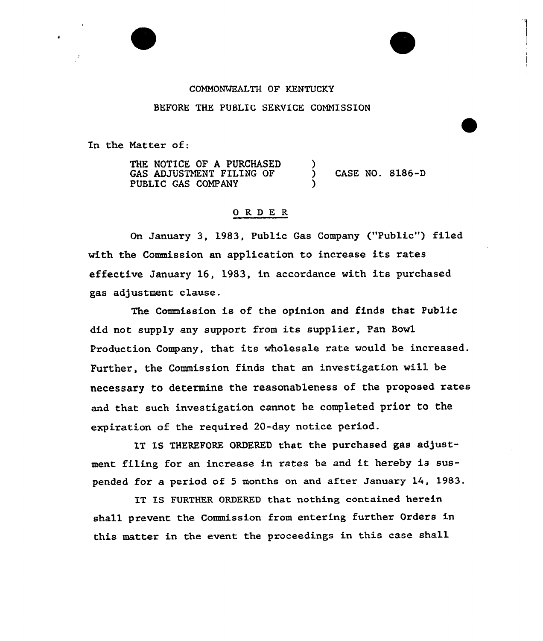## COHMONWEALTH OF KENTUCKY

## BEFORE THE PUBLIC SERVICE COMNISSION

In the Natter of:

THE NOTICE OF A PURCHASED GAS ADJUSTNENT FILING OF PUBLIC GAS COMPANY ) ) CASE NO. 8186-D )

## 0 RDE <sup>R</sup>

On January 3, 1983, Public Gas Company ("Public") filed with the Commission an application to increase its rates effective January 16, 1983, in accordance with its purchased gas adjustment clause.

The Commission is of the opinion and finds that Public did not supply any support from its supplier, Pan Bowl Production Company, that its wholesale rate would be increased. Further, the Commission finds that an investigation will be necessary to determine the reasonableness of the proposed rates and that such investigation cannot be completed prior to the expiration of the required 20-day notice period.

IT IS THEREFORE ORDERED that the purchased gas adjustment filing for an increase in rates be and it hereby is suspended for a period of <sup>5</sup> months on and after January 14, 1983.

IT IS FURTHER ORDERED that nothing contained herein shall prevent the Commission from entering further Orders in this matter in the event the proceedings in this case shall